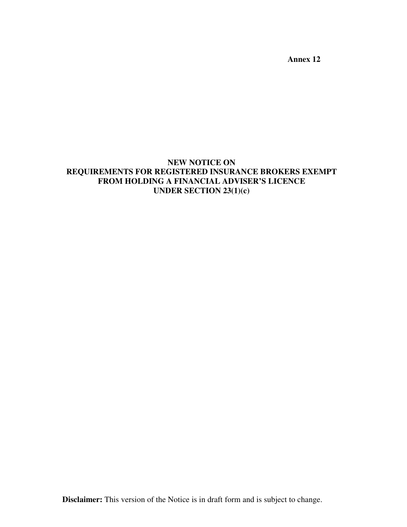**Annex 12** 

# **NEW NOTICE ON REQUIREMENTS FOR REGISTERED INSURANCE BROKERS EXEMPT FROM HOLDING A FINANCIAL ADVISER'S LICENCE UNDER SECTION 23(1)(c)**

**Disclaimer:** This version of the Notice is in draft form and is subject to change.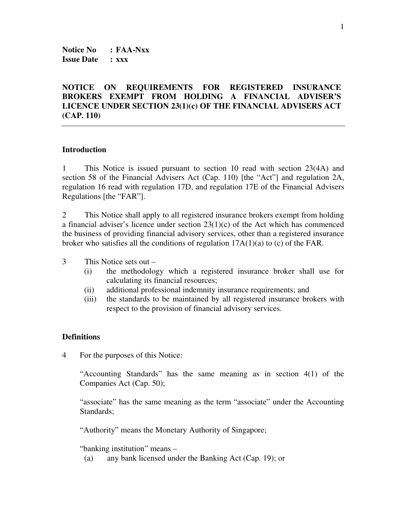**Notice No : FAA-Nxx Issue Date : xxx** 

# **NOTICE ON REQUIREMENTS FOR REGISTERED INSURANCE BROKERS EXEMPT FROM HOLDING A FINANCIAL ADVISER'S LICENCE UNDER SECTION 23(1)(c) OF THE FINANCIAL ADVISERS ACT (CAP. 110)**

#### **Introduction**

1 This Notice is issued pursuant to section 10 read with section 23(4A) and section 58 of the Financial Advisers Act (Cap. 110) [the "Act"] and regulation 2A, regulation 16 read with regulation 17D, and regulation 17E of the Financial Advisers Regulations [the "FAR"].

2 This Notice shall apply to all registered insurance brokers exempt from holding a financial adviser's licence under section  $23(1)(c)$  of the Act which has commenced the business of providing financial advisory services, other than a registered insurance broker who satisfies all the conditions of regulation 17A(1)(a) to (c) of the FAR.

3 This Notice sets out –

- (i) the methodology which a registered insurance broker shall use for calculating its financial resources;
- (ii) additional professional indemnity insurance requirements; and
- (iii) the standards to be maintained by all registered insurance brokers with respect to the provision of financial advisory services.

#### **Definitions**

4 For the purposes of this Notice:

"Accounting Standards" has the same meaning as in section 4(1) of the Companies Act (Cap. 50);

"associate" has the same meaning as the term "associate" under the Accounting Standards:

"Authority" means the Monetary Authority of Singapore;

"banking institution" means –

(a) any bank licensed under the Banking Act (Cap. 19); or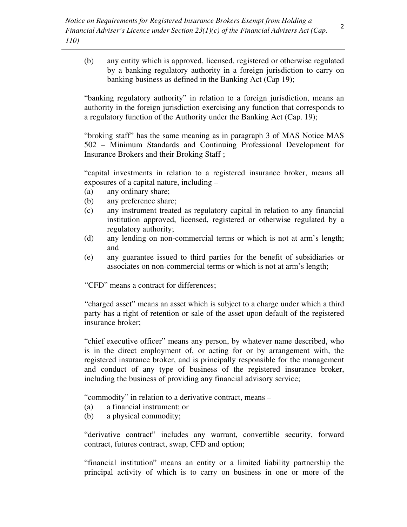(b) any entity which is approved, licensed, registered or otherwise regulated by a banking regulatory authority in a foreign jurisdiction to carry on banking business as defined in the Banking Act (Cap 19);

"banking regulatory authority" in relation to a foreign jurisdiction, means an authority in the foreign jurisdiction exercising any function that corresponds to a regulatory function of the Authority under the Banking Act (Cap. 19);

"broking staff" has the same meaning as in paragraph 3 of MAS Notice MAS 502 – Minimum Standards and Continuing Professional Development for Insurance Brokers and their Broking Staff ;

"capital investments in relation to a registered insurance broker, means all exposures of a capital nature, including –

- (a) any ordinary share;
- (b) any preference share;
- (c) any instrument treated as regulatory capital in relation to any financial institution approved, licensed, registered or otherwise regulated by a regulatory authority;
- (d) any lending on non-commercial terms or which is not at arm's length; and
- (e) any guarantee issued to third parties for the benefit of subsidiaries or associates on non-commercial terms or which is not at arm's length;

"CFD" means a contract for differences;

 "charged asset" means an asset which is subject to a charge under which a third party has a right of retention or sale of the asset upon default of the registered insurance broker;

"chief executive officer" means any person, by whatever name described, who is in the direct employment of, or acting for or by arrangement with, the registered insurance broker, and is principally responsible for the management and conduct of any type of business of the registered insurance broker, including the business of providing any financial advisory service;

"commodity" in relation to a derivative contract, means –

- (a) a financial instrument; or
- (b) a physical commodity;

"derivative contract" includes any warrant, convertible security, forward contract, futures contract, swap, CFD and option;

"financial institution" means an entity or a limited liability partnership the principal activity of which is to carry on business in one or more of the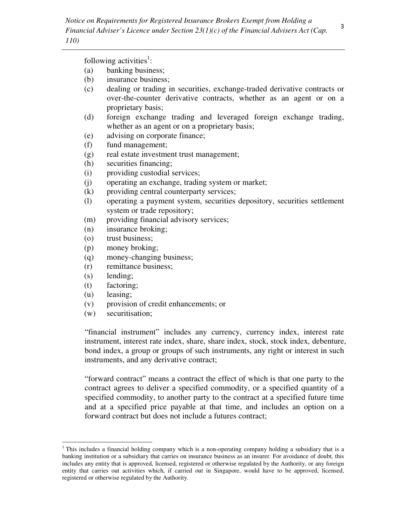following activities<sup>1</sup>:

- (a) banking business;
- (b) insurance business;
- (c) dealing or trading in securities, exchange-traded derivative contracts or over-the-counter derivative contracts, whether as an agent or on a proprietary basis;
- (d) foreign exchange trading and leveraged foreign exchange trading, whether as an agent or on a proprietary basis;
- (e) advising on corporate finance;
- (f) fund management;
- (g) real estate investment trust management;
- (h) securities financing;
- (i) providing custodial services;
- (j) operating an exchange, trading system or market;
- (k) providing central counterparty services;
- (l) operating a payment system, securities depository, securities settlement system or trade repository;
- (m) providing financial advisory services;
- (n) insurance broking;
- (o) trust business;
- (p) money broking;
- (q) money-changing business;
- (r) remittance business;
- (s) lending;
- (t) factoring;
- (u) leasing;

 $\overline{a}$ 

- (v) provision of credit enhancements; or
- (w) securitisation;

"financial instrument" includes any currency, currency index, interest rate instrument, interest rate index, share, share index, stock, stock index, debenture, bond index, a group or groups of such instruments, any right or interest in such instruments, and any derivative contract;

"forward contract" means a contract the effect of which is that one party to the contract agrees to deliver a specified commodity, or a specified quantity of a specified commodity, to another party to the contract at a specified future time and at a specified price payable at that time, and includes an option on a forward contract but does not include a futures contract;

<sup>&</sup>lt;sup>1</sup> This includes a financial holding company which is a non-operating company holding a subsidiary that is a banking institution or a subsidiary that carries on insurance business as an insurer. For avoidance of doubt, this includes any entity that is approved, licensed, registered or otherwise regulated by the Authority, or any foreign entity that carries out activities which, if carried out in Singapore, would have to be approved, licensed, registered or otherwise regulated by the Authority.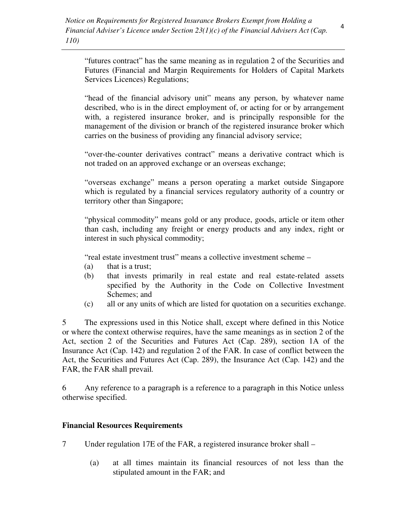"futures contract" has the same meaning as in regulation 2 of the Securities and Futures (Financial and Margin Requirements for Holders of Capital Markets Services Licences) Regulations;

"head of the financial advisory unit" means any person, by whatever name described, who is in the direct employment of, or acting for or by arrangement with, a registered insurance broker, and is principally responsible for the management of the division or branch of the registered insurance broker which carries on the business of providing any financial advisory service;

"over-the-counter derivatives contract" means a derivative contract which is not traded on an approved exchange or an overseas exchange;

"overseas exchange" means a person operating a market outside Singapore which is regulated by a financial services regulatory authority of a country or territory other than Singapore;

"physical commodity" means gold or any produce, goods, article or item other than cash, including any freight or energy products and any index, right or interest in such physical commodity;

"real estate investment trust" means a collective investment scheme –

- (a) that is a trust;
- (b) that invests primarily in real estate and real estate-related assets specified by the Authority in the Code on Collective Investment Schemes; and
- (c) all or any units of which are listed for quotation on a securities exchange.

5 The expressions used in this Notice shall, except where defined in this Notice or where the context otherwise requires, have the same meanings as in section 2 of the Act, section 2 of the Securities and Futures Act (Cap. 289), section 1A of the Insurance Act (Cap. 142) and regulation 2 of the FAR. In case of conflict between the Act, the Securities and Futures Act (Cap. 289), the Insurance Act (Cap. 142) and the FAR, the FAR shall prevail*.*

6 Any reference to a paragraph is a reference to a paragraph in this Notice unless otherwise specified.

## **Financial Resources Requirements**

- 7 Under regulation 17E of the FAR, a registered insurance broker shall
	- (a) at all times maintain its financial resources of not less than the stipulated amount in the FAR; and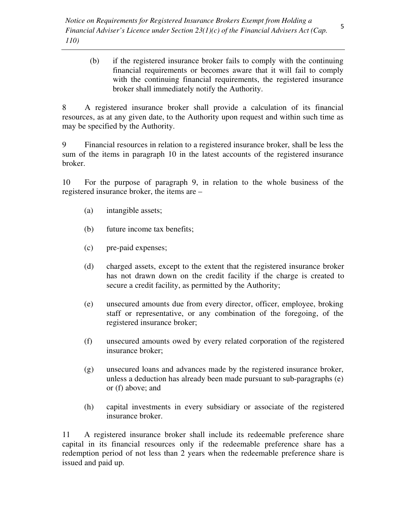(b) if the registered insurance broker fails to comply with the continuing financial requirements or becomes aware that it will fail to comply with the continuing financial requirements, the registered insurance broker shall immediately notify the Authority.

8 A registered insurance broker shall provide a calculation of its financial resources, as at any given date, to the Authority upon request and within such time as may be specified by the Authority.

9 Financial resources in relation to a registered insurance broker, shall be less the sum of the items in paragraph 10 in the latest accounts of the registered insurance broker.

10 For the purpose of paragraph 9, in relation to the whole business of the registered insurance broker, the items are –

- (a) intangible assets;
- (b) future income tax benefits;
- (c) pre-paid expenses;
- (d) charged assets, except to the extent that the registered insurance broker has not drawn down on the credit facility if the charge is created to secure a credit facility, as permitted by the Authority;
- (e) unsecured amounts due from every director, officer, employee, broking staff or representative, or any combination of the foregoing, of the registered insurance broker;
- (f) unsecured amounts owed by every related corporation of the registered insurance broker;
- (g) unsecured loans and advances made by the registered insurance broker, unless a deduction has already been made pursuant to sub-paragraphs (e) or (f) above; and
- (h) capital investments in every subsidiary or associate of the registered insurance broker.

11 A registered insurance broker shall include its redeemable preference share capital in its financial resources only if the redeemable preference share has a redemption period of not less than 2 years when the redeemable preference share is issued and paid up.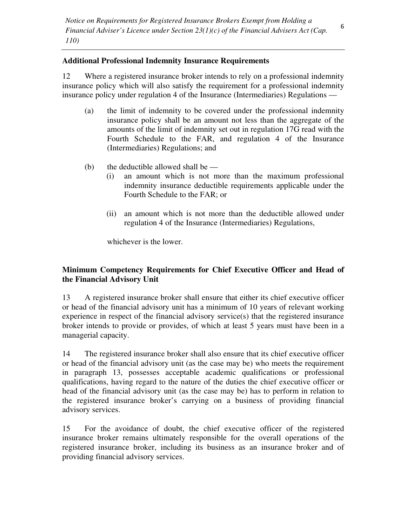#### **Additional Professional Indemnity Insurance Requirements**

12 Where a registered insurance broker intends to rely on a professional indemnity insurance policy which will also satisfy the requirement for a professional indemnity insurance policy under regulation 4 of the Insurance (Intermediaries) Regulations —

- (a) the limit of indemnity to be covered under the professional indemnity insurance policy shall be an amount not less than the aggregate of the amounts of the limit of indemnity set out in regulation 17G read with the Fourth Schedule to the FAR, and regulation 4 of the Insurance (Intermediaries) Regulations; and
- (b) the deductible allowed shall be  $-$ 
	- (i) an amount which is not more than the maximum professional indemnity insurance deductible requirements applicable under the Fourth Schedule to the FAR; or
	- (ii) an amount which is not more than the deductible allowed under regulation 4 of the Insurance (Intermediaries) Regulations,

whichever is the lower.

# **Minimum Competency Requirements for Chief Executive Officer and Head of the Financial Advisory Unit**

13 A registered insurance broker shall ensure that either its chief executive officer or head of the financial advisory unit has a minimum of 10 years of relevant working experience in respect of the financial advisory service(s) that the registered insurance broker intends to provide or provides, of which at least 5 years must have been in a managerial capacity.

14 The registered insurance broker shall also ensure that its chief executive officer or head of the financial advisory unit (as the case may be) who meets the requirement in paragraph 13, possesses acceptable academic qualifications or professional qualifications, having regard to the nature of the duties the chief executive officer or head of the financial advisory unit (as the case may be) has to perform in relation to the registered insurance broker's carrying on a business of providing financial advisory services.

15 For the avoidance of doubt, the chief executive officer of the registered insurance broker remains ultimately responsible for the overall operations of the registered insurance broker, including its business as an insurance broker and of providing financial advisory services.